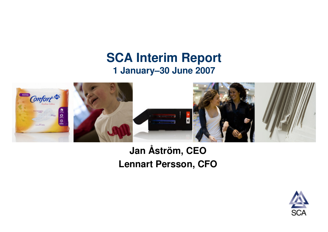### **SCA Interim Report 1 January–30 June 2007**



### **Jan Åström, CEOLennart Persson, CFO**

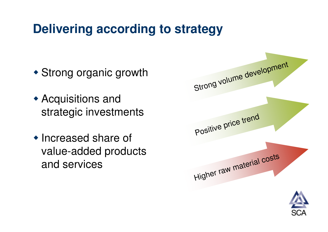## **Delivering according to strategy**

- Strong organic growth
- Acquisitions and strategic investments
- Increased share of value-added products and services

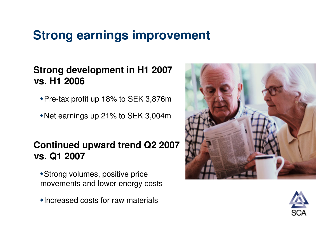## **Strong earnings improvement**

### **Strong development in H1 2007 vs. H1 2006**

- Pre-tax profit up 18% to SEK 3,876m
- Net earnings up 21% to SEK 3,004m

### **Continued upward trend Q2 2007 vs. Q1 2007**

- Strong volumes, positive price movements and lower energy costs
- Increased costs for raw materials



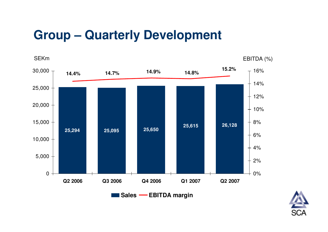## **Group – Quarterly Development**



**Sales EBITDA margin**

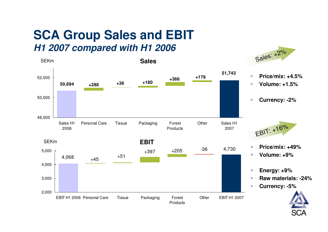### **SCA Group Sales and EBITH1 2007 compared with H1 2006**

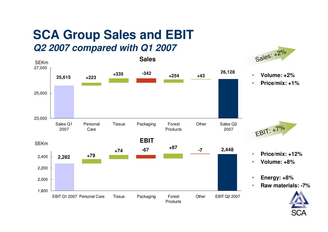### **SCA Group Sales and EBITQ2 2007 compared with Q1 2007**

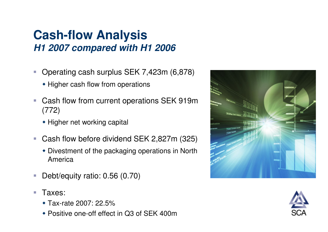### **Cash-flow Analysis H1 2007 compared with H1 2006**

- - Operating cash surplus SEK 7,423m (6,878)
	- Higher cash flow from operations
- - Cash flow from current operations SEK 919m (772)
	- ◆ Higher net working capital
- - Cash flow before dividend SEK 2,827m (325)
	- Divestment of the packaging operations in North America
- -Debt/equity ratio: 0.56 (0.70)
- - Taxes:
	- Tax-rate 2007: 22.5%
	- Positive one-off effect in Q3 of SEK 400m



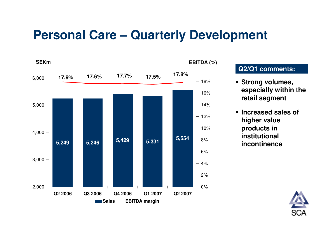### **Personal Care – Quarterly Development**



#### **Q2/Q1 comments:**

- **Strong volumes, especially within the retail segment**
- **Increased sales of higher value products in institutional incontinence**

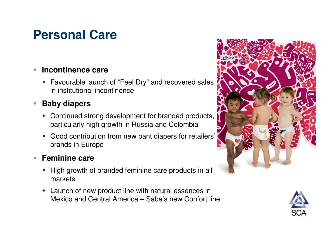## **Personal Care**

#### -**Incontinence care**

 Favourable launch of "Feel Dry" and recovered sales in institutional incontinence

#### -**Baby diapers**

- Continued strong development for branded products, particularly high growth in Russia and Colombia
- Good contribution from new pant diapers for retailers' brands in Europe

#### -**Feminine care**

- ◆ High growth of branded feminine care products in all markets
- Launch of new product line with natural essences in Mexico and Central America – Saba's new Confort line



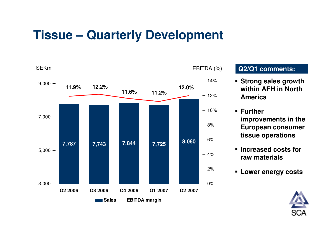## **Tissue – Quarterly Development**



### **Q2/Q1 comments:**

- **Strong sales growth within AFH in North America**
- **Further improvements in the European consumer tissue operations**
- **Increased costs for raw materials**
- **Lower energy costs**

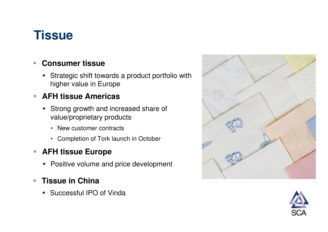## **Tissue**

#### -**Consumer tissue**

• Strategic shift towards a product portfolio with higher value in Europe

#### -**AFH tissue Americas**

- Strong growth and increased share of value/proprietary products
	- New customer contracts
	- Completion of Tork launch in October

#### -**AFH tissue Europe**

Positive volume and price development

#### -**Tissue in China**

• Successful IPO of Vinda



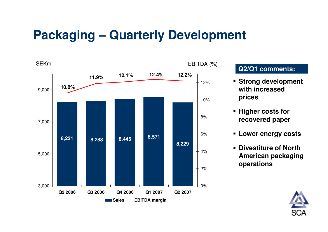## **Packaging – Quarterly Development**



#### **Q2/Q1 comments:**

- **Strong development with increased prices**
- **Higher costs for recovered paper**
- -**Lower energy costs**
- - **Divestiture of North American packaging operations**

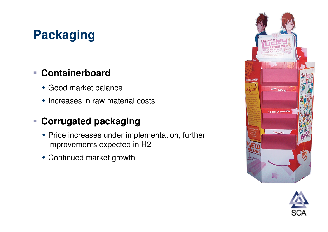# **Packaging**

### - **Containerboard**

- Good market balance
- Increases in raw material costs

### - **Corrugated packaging**

- Price increases under implementation, further improvements expected in H2
- Continued market growth



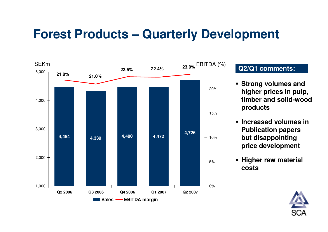## **Forest Products – Quarterly Development**



- **Strong volumes and higher prices in pulp, timber and solid-wood products**
- **Increased volumes in Publication papers but disappointing price development**
- **Higher raw material costs**

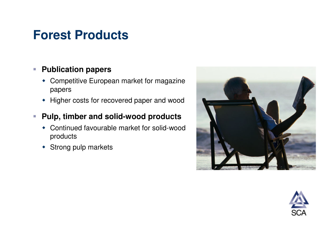## **Forest Products**

#### -**Publication papers**

- Competitive European market for magazine papers
- Higher costs for recovered paper and wood
- - **Pulp, timber and solid-wood products**
	- Continued favourable market for solid-wood products
	- Strong pulp markets



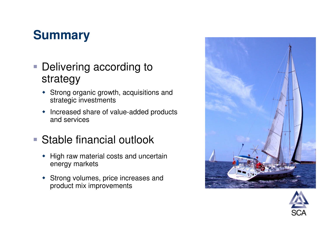## **Summary**

- **Delivering according to** strategy
	- Strong organic growth, acquisitions and strategic investments
	- $\blacklozenge$  Increased share of value-added products and services
- Stable financial outlook
	- High raw material costs and uncertain energy markets
	- Strong volumes, price increases and product mix improvements